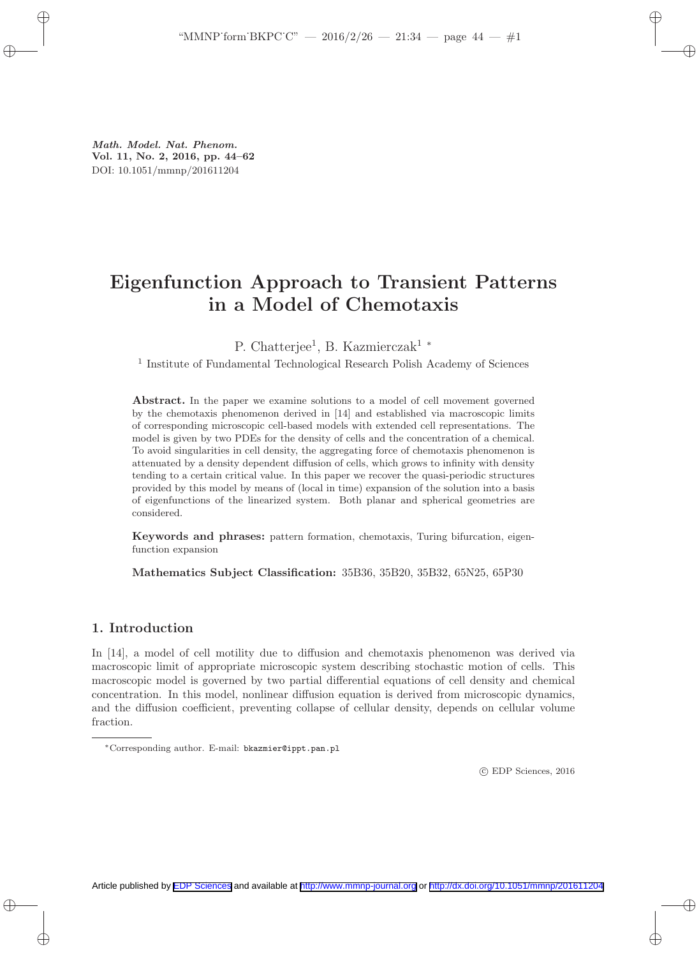Math. Model. Nat. Phenom. Vol. 11, No. 2, 2016, pp. 44–62 DOI: 10.1051/mmnp/201611204

# Eigenfunction Approach to Transient Patterns in a Model of Chemotaxis

P. Chatterjee<sup>1</sup>, B. Kazmierczak<sup>1</sup> \*

<sup>1</sup> Institute of Fundamental Technological Research Polish Academy of Sciences

Abstract. In the paper we examine solutions to a model of cell movement governed by the chemotaxis phenomenon derived in [14] and established via macroscopic limits of corresponding microscopic cell-based models with extended cell representations. The model is given by two PDEs for the density of cells and the concentration of a chemical. To avoid singularities in cell density, the aggregating force of chemotaxis phenomenon is attenuated by a density dependent diffusion of cells, which grows to infinity with density tending to a certain critical value. In this paper we recover the quasi-periodic structures provided by this model by means of (local in time) expansion of the solution into a basis of eigenfunctions of the linearized system. Both planar and spherical geometries are considered.

Keywords and phrases: pattern formation, chemotaxis, Turing bifurcation, eigenfunction expansion

Mathematics Subject Classification: 35B36, 35B20, 35B32, 65N25, 65P30

# 1. Introduction

In [14], a model of cell motility due to diffusion and chemotaxis phenomenon was derived via macroscopic limit of appropriate microscopic system describing stochastic motion of cells. This macroscopic model is governed by two partial differential equations of cell density and chemical concentration. In this model, nonlinear diffusion equation is derived from microscopic dynamics, and the diffusion coefficient, preventing collapse of cellular density, depends on cellular volume fraction.

c EDP Sciences, 2016

<sup>∗</sup>Corresponding author. E-mail: bkazmier@ippt.pan.pl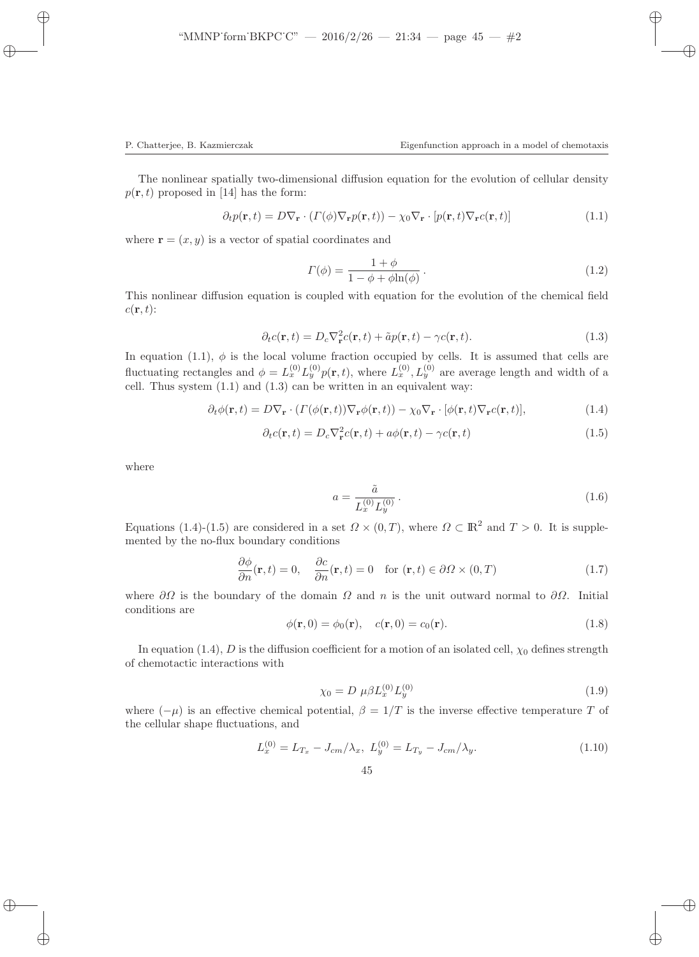The nonlinear spatially two-dimensional diffusion equation for the evolution of cellular density  $p(\mathbf{r}, t)$  proposed in [14] has the form:

$$
\partial_t p(\mathbf{r}, t) = D \nabla_\mathbf{r} \cdot ( \Gamma(\phi) \nabla_\mathbf{r} p(\mathbf{r}, t) ) - \chi_0 \nabla_\mathbf{r} \cdot [ p(\mathbf{r}, t) \nabla_\mathbf{r} c(\mathbf{r}, t) ] \tag{1.1}
$$

where  $\mathbf{r} = (x, y)$  is a vector of spatial coordinates and

$$
\Gamma(\phi) = \frac{1 + \phi}{1 - \phi + \phi \ln(\phi)}.
$$
\n(1.2)

This nonlinear diffusion equation is coupled with equation for the evolution of the chemical field  $c(\mathbf{r}, t)$ :

$$
\partial_t c(\mathbf{r}, t) = D_c \nabla_{\mathbf{r}}^2 c(\mathbf{r}, t) + \tilde{a} p(\mathbf{r}, t) - \gamma c(\mathbf{r}, t). \tag{1.3}
$$

In equation (1.1),  $\phi$  is the local volume fraction occupied by cells. It is assumed that cells are fluctuating rectangles and  $\phi = L_x^{(0)} L_y^{(0)} p(\mathbf{r}, t)$ , where  $L_x^{(0)}$ ,  $L_y^{(0)}$  are average length and width of a cell. Thus system (1.1) and (1.3) can be written in an equivalent way:

$$
\partial_t \phi(\mathbf{r}, t) = D \nabla_\mathbf{r} \cdot ( \Gamma(\phi(\mathbf{r}, t)) \nabla_\mathbf{r} \phi(\mathbf{r}, t) ) - \chi_0 \nabla_\mathbf{r} \cdot [\phi(\mathbf{r}, t) \nabla_\mathbf{r} c(\mathbf{r}, t) ], \tag{1.4}
$$

$$
\partial_t c(\mathbf{r}, t) = D_c \nabla_{\mathbf{r}}^2 c(\mathbf{r}, t) + a\phi(\mathbf{r}, t) - \gamma c(\mathbf{r}, t)
$$
\n(1.5)

where

$$
a = \frac{\tilde{a}}{L_x^{(0)} L_y^{(0)}}.
$$
\n(1.6)

Equations (1.4)-(1.5) are considered in a set  $\Omega \times (0,T)$ , where  $\Omega \subset \mathbb{R}^2$  and  $T > 0$ . It is supplemented by the no-flux boundary conditions

$$
\frac{\partial \phi}{\partial n}(\mathbf{r}, t) = 0, \quad \frac{\partial c}{\partial n}(\mathbf{r}, t) = 0 \quad \text{for } (\mathbf{r}, t) \in \partial \Omega \times (0, T) \tag{1.7}
$$

where  $\partial\Omega$  is the boundary of the domain  $\Omega$  and n is the unit outward normal to  $\partial\Omega$ . Initial conditions are

$$
\phi(\mathbf{r},0) = \phi_0(\mathbf{r}), \quad c(\mathbf{r},0) = c_0(\mathbf{r}). \tag{1.8}
$$

In equation (1.4), D is the diffusion coefficient for a motion of an isolated cell,  $\chi_0$  defines strength of chemotactic interactions with

$$
\chi_0 = D \ \mu \beta L_x^{(0)} L_y^{(0)} \tag{1.9}
$$

where  $(-\mu)$  is an effective chemical potential,  $\beta = 1/T$  is the inverse effective temperature T of the cellular shape fluctuations, and

$$
L_x^{(0)} = L_{T_x} - J_{cm}/\lambda_x, \ L_y^{(0)} = L_{T_y} - J_{cm}/\lambda_y.
$$
 (1.10)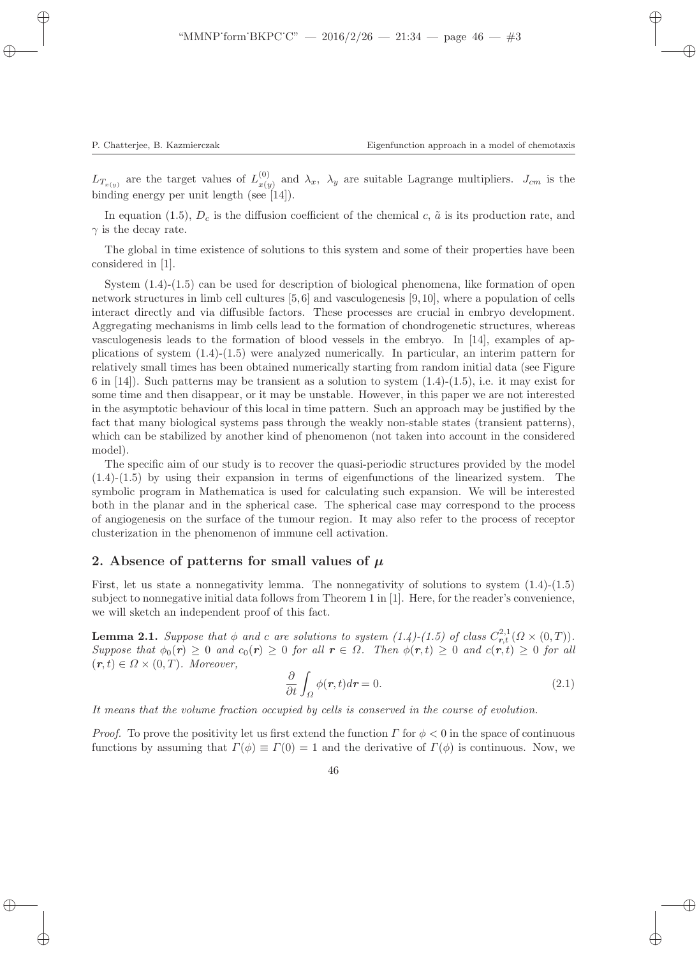$L_{T_{x(y)}}$  are the target values of  $L_{x(y)}^{(0)}$  $x(y)$  and  $\lambda_x$ ,  $\lambda_y$  are suitable Lagrange multipliers.  $J_{cm}$  is the binding energy per unit length (see [14]).

In equation (1.5),  $D_c$  is the diffusion coefficient of the chemical c,  $\tilde{a}$  is its production rate, and  $\gamma$  is the decay rate.

The global in time existence of solutions to this system and some of their properties have been considered in [1].

System (1.4)-(1.5) can be used for description of biological phenomena, like formation of open network structures in limb cell cultures [5, 6] and vasculogenesis [9, 10], where a population of cells interact directly and via diffusible factors. These processes are crucial in embryo development. Aggregating mechanisms in limb cells lead to the formation of chondrogenetic structures, whereas vasculogenesis leads to the formation of blood vessels in the embryo. In [14], examples of applications of system (1.4)-(1.5) were analyzed numerically. In particular, an interim pattern for relatively small times has been obtained numerically starting from random initial data (see Figure 6 in  $[14]$ ). Such patterns may be transient as a solution to system  $(1.4)-(1.5)$ , i.e. it may exist for some time and then disappear, or it may be unstable. However, in this paper we are not interested in the asymptotic behaviour of this local in time pattern. Such an approach may be justified by the fact that many biological systems pass through the weakly non-stable states (transient patterns), which can be stabilized by another kind of phenomenon (not taken into account in the considered model).

The specific aim of our study is to recover the quasi-periodic structures provided by the model (1.4)-(1.5) by using their expansion in terms of eigenfunctions of the linearized system. The symbolic program in Mathematica is used for calculating such expansion. We will be interested both in the planar and in the spherical case. The spherical case may correspond to the process of angiogenesis on the surface of the tumour region. It may also refer to the process of receptor clusterization in the phenomenon of immune cell activation.

# 2. Absence of patterns for small values of  $\mu$

First, let us state a nonnegativity lemma. The nonnegativity of solutions to system  $(1.4)-(1.5)$ subject to nonnegative initial data follows from Theorem 1 in [1]. Here, for the reader's convenience, we will sketch an independent proof of this fact.

**Lemma 2.1.** Suppose that  $\phi$  and c are solutions to system  $(1.4)-(1.5)$  of class  $C_{r,t}^{2,1}(\Omega \times (0,T)).$ Suppose that  $\phi_0(r) \geq 0$  and  $c_0(r) \geq 0$  for all  $r \in \Omega$ . Then  $\phi(r, t) \geq 0$  and  $c(r, t) \geq 0$  for all  $(r, t) \in \Omega \times (0, T)$ . Moreover,

$$
\frac{\partial}{\partial t} \int_{\Omega} \phi(\mathbf{r}, t) d\mathbf{r} = 0.
$$
\n(2.1)

It means that the volume fraction occupied by cells is conserved in the course of evolution.

*Proof.* To prove the positivity let us first extend the function  $\Gamma$  for  $\phi < 0$  in the space of continuous functions by assuming that  $\Gamma(\phi) \equiv \Gamma(0) = 1$  and the derivative of  $\Gamma(\phi)$  is continuous. Now, we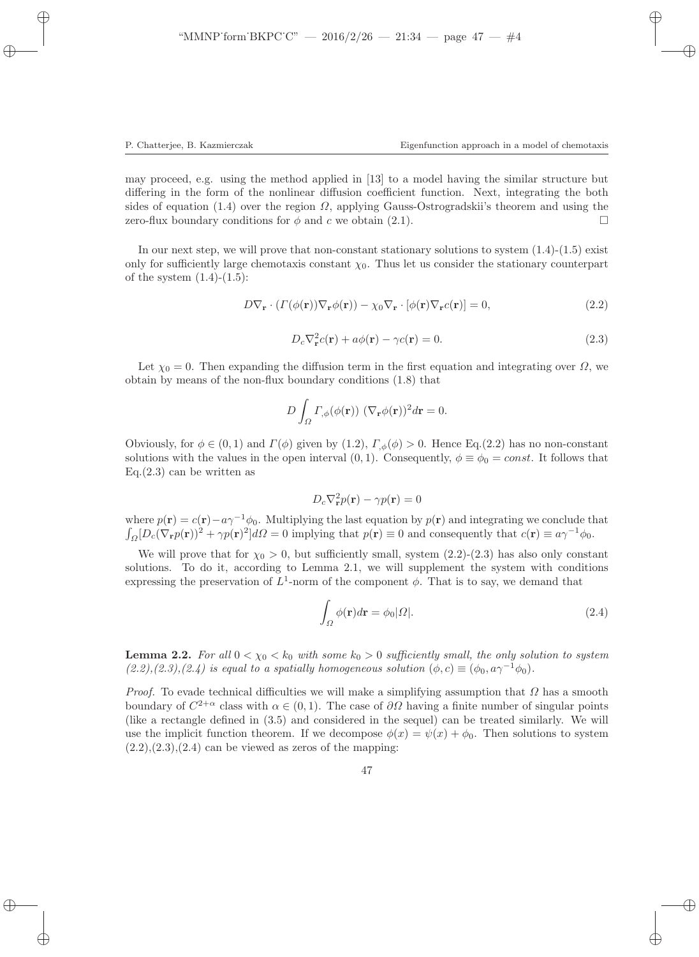may proceed, e.g. using the method applied in [13] to a model having the similar structure but differing in the form of the nonlinear diffusion coefficient function. Next, integrating the both sides of equation (1.4) over the region  $\Omega$ , applying Gauss-Ostrogradskii's theorem and using the zero-flux boundary conditions for  $\phi$  and c we obtain (2.1).

In our next step, we will prove that non-constant stationary solutions to system  $(1.4)-(1.5)$  exist only for sufficiently large chemotaxis constant  $\chi_0$ . Thus let us consider the stationary counterpart of the system  $(1.4)-(1.5)$ :

$$
D\nabla_{\mathbf{r}} \cdot (T(\phi(\mathbf{r}))\nabla_{\mathbf{r}}\phi(\mathbf{r})) - \chi_0 \nabla_{\mathbf{r}} \cdot [\phi(\mathbf{r})\nabla_{\mathbf{r}}c(\mathbf{r})] = 0, \tag{2.2}
$$

$$
D_c \nabla_{\mathbf{r}}^2 c(\mathbf{r}) + a\phi(\mathbf{r}) - \gamma c(\mathbf{r}) = 0.
$$
 (2.3)

Let  $\chi_0 = 0$ . Then expanding the diffusion term in the first equation and integrating over  $\Omega$ , we obtain by means of the non-flux boundary conditions (1.8) that

$$
D\int_{\Omega} \Gamma_{,\phi}(\phi(\mathbf{r})) (\nabla_{\mathbf{r}} \phi(\mathbf{r}))^2 d\mathbf{r} = 0.
$$

Obviously, for  $\phi \in (0,1)$  and  $\Gamma(\phi)$  given by (1.2),  $\Gamma_{,\phi}(\phi) > 0$ . Hence Eq.(2.2) has no non-constant solutions with the values in the open interval  $(0, 1)$ . Consequently,  $\phi \equiv \phi_0 = const.$  It follows that  $Eq.(2.3)$  can be written as

$$
D_c \nabla_{\mathbf{r}}^2 p(\mathbf{r}) - \gamma p(\mathbf{r}) = 0
$$

where  $p(\mathbf{r}) = c(\mathbf{r}) - a\gamma^{-1}\phi_0$ . Multiplying the last equation by  $p(\mathbf{r})$  and integrating we conclude that  $\int_{\Omega} [D_c(\nabla_{\bf r} p({\bf r}))^2 + \gamma p({\bf r})^2] d\Omega = 0$  implying that  $p({\bf r}) \equiv 0$  and consequently that  $c({\bf r}) \equiv a\gamma^{-1}\phi_0$ .

We will prove that for  $\chi_0 > 0$ , but sufficiently small, system  $(2.2)-(2.3)$  has also only constant solutions. To do it, according to Lemma 2.1, we will supplement the system with conditions expressing the preservation of  $L^1$ -norm of the component  $\phi$ . That is to say, we demand that

$$
\int_{\Omega} \phi(\mathbf{r}) d\mathbf{r} = \phi_0 |\Omega|. \tag{2.4}
$$

**Lemma 2.2.** For all  $0 < \chi_0 < k_0$  with some  $k_0 > 0$  sufficiently small, the only solution to system  $(2.2),(2.3),(2.4)$  is equal to a spatially homogeneous solution  $(\phi, c) \equiv (\phi_0, a\gamma^{-1}\phi_0)$ .

*Proof.* To evade technical difficulties we will make a simplifying assumption that  $\Omega$  has a smooth boundary of  $C^{2+\alpha}$  class with  $\alpha \in (0,1)$ . The case of  $\partial\Omega$  having a finite number of singular points (like a rectangle defined in (3.5) and considered in the sequel) can be treated similarly. We will use the implicit function theorem. If we decompose  $\phi(x) = \psi(x) + \phi_0$ . Then solutions to system  $(2.2),(2.3),(2.4)$  can be viewed as zeros of the mapping: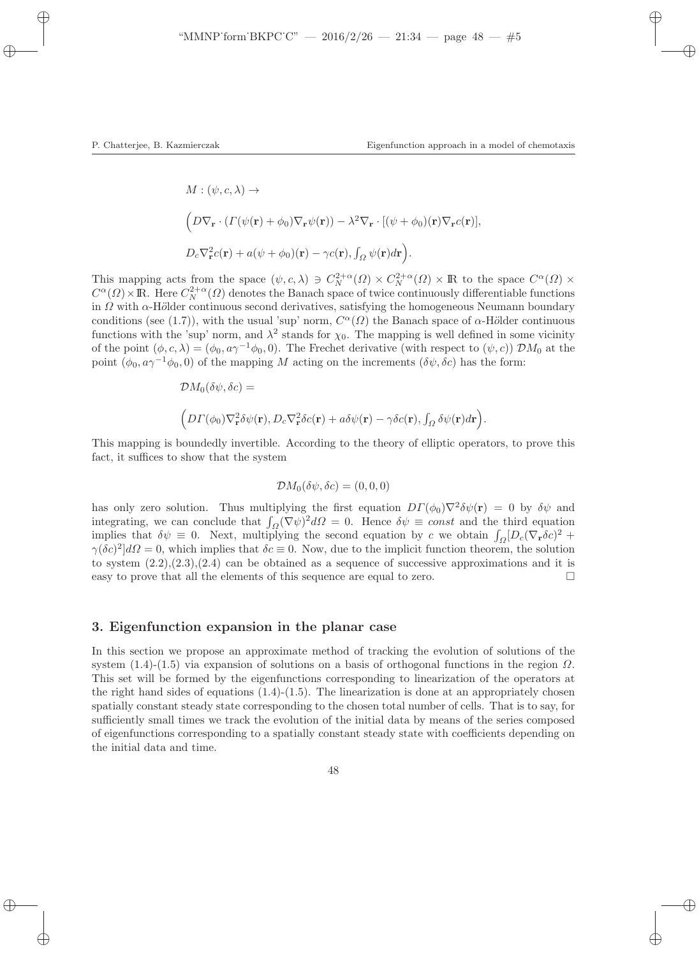$$
M: (\psi, c, \lambda) \to
$$
  
\n
$$
\left( D \nabla_{\mathbf{r}} \cdot ( \Gamma(\psi(\mathbf{r}) + \phi_0) \nabla_{\mathbf{r}} \psi(\mathbf{r})) - \lambda^2 \nabla_{\mathbf{r}} \cdot [(\psi + \phi_0)(\mathbf{r}) \nabla_{\mathbf{r}} c(\mathbf{r})],
$$
  
\n
$$
D_c \nabla_{\mathbf{r}}^2 c(\mathbf{r}) + a(\psi + \phi_0)(\mathbf{r}) - \gamma c(\mathbf{r}), \int_{\Omega} \psi(\mathbf{r}) d\mathbf{r} \right).
$$

This mapping acts from the space  $(\psi, c, \lambda) \ni C_N^{2+\alpha}(\Omega) \times C_N^{2+\alpha}(\Omega) \times \mathbb{R}$  to the space  $C^{\alpha}(\Omega) \times C_N^{2+\alpha}(\Omega)$  $C^{\alpha}(\Omega) \times \mathbb{R}$ . Here  $C_N^{2+\alpha}(\Omega)$  denotes the Banach space of twice continuously differentiable functions in  $\Omega$  with  $\alpha$ -Hölder continuous second derivatives, satisfying the homogeneous Neumann boundary conditions (see (1.7)), with the usual 'sup' norm,  $C^{\alpha}(\Omega)$  the Banach space of  $\alpha$ -Hölder continuous functions with the 'sup' norm, and  $\lambda^2$  stands for  $\chi_0$ . The mapping is well defined in some vicinity of the point  $(\phi, c, \lambda) = (\phi_0, a\gamma^{-1}\phi_0, 0)$ . The Frechet derivative (with respect to  $(\psi, c)$ )  $\mathcal{D}M_0$  at the point  $(\phi_0, a\gamma^{-1}\phi_0, 0)$  of the mapping M acting on the increments  $(\delta\psi, \delta c)$  has the form:

$$
\mathcal{D}M_0(\delta\psi, \delta c) =
$$
\n
$$
\left( DI(\phi_0) \nabla_{\mathbf{r}}^2 \delta \psi(\mathbf{r}), D_c \nabla_{\mathbf{r}}^2 \delta c(\mathbf{r}) + a \delta \psi(\mathbf{r}) - \gamma \delta c(\mathbf{r}), \int_{\Omega} \delta \psi(\mathbf{r}) d\mathbf{r} \right).
$$

This mapping is boundedly invertible. According to the theory of elliptic operators, to prove this fact, it suffices to show that the system

$$
\mathcal{D}M_0(\delta\psi,\delta c)=(0,0,0)
$$

has only zero solution. Thus multiplying the first equation  $DT(\phi_0)\nabla^2 \delta \psi(\mathbf{r}) = 0$  by  $\delta \psi$  and integrating, we can conclude that  $\int_{\Omega} (\nabla \psi)^2 d\Omega = 0$ . Hence  $\delta \psi \equiv const$  and the third equation implies that  $\delta \psi = 0$ . Next, multiplying the second equation by c we obtain  $\int_{\Omega} [D_c(\nabla_{\mathbf{r}} \delta c)^2 +$  $\gamma(\delta c)^2$   $d\Omega = 0$ , which implies that  $\delta c \equiv 0$ . Now, due to the implicit function theorem, the solution to system  $(2.2),(2.3),(2.4)$  can be obtained as a sequence of successive approximations and it is easy to prove that all the elements of this sequence are equal to zero.  $\Box$ 

#### 3. Eigenfunction expansion in the planar case

In this section we propose an approximate method of tracking the evolution of solutions of the system (1.4)-(1.5) via expansion of solutions on a basis of orthogonal functions in the region  $\Omega$ . This set will be formed by the eigenfunctions corresponding to linearization of the operators at the right hand sides of equations  $(1.4)-(1.5)$ . The linearization is done at an appropriately chosen spatially constant steady state corresponding to the chosen total number of cells. That is to say, for sufficiently small times we track the evolution of the initial data by means of the series composed of eigenfunctions corresponding to a spatially constant steady state with coefficients depending on the initial data and time.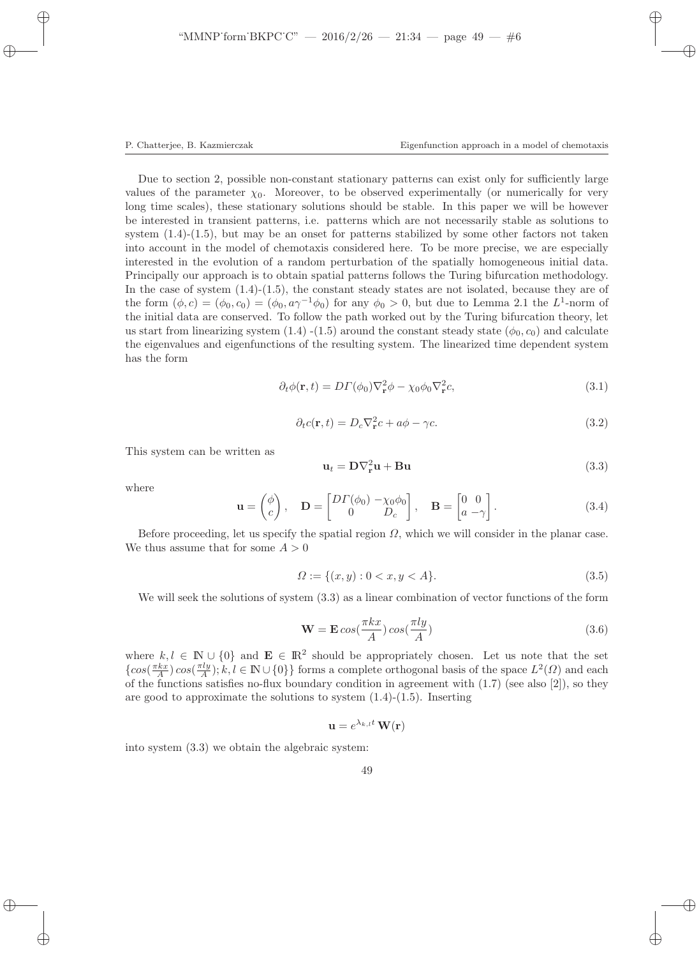Due to section 2, possible non-constant stationary patterns can exist only for sufficiently large values of the parameter  $\chi_0$ . Moreover, to be observed experimentally (or numerically for very long time scales), these stationary solutions should be stable. In this paper we will be however be interested in transient patterns, i.e. patterns which are not necessarily stable as solutions to system  $(1.4)-(1.5)$ , but may be an onset for patterns stabilized by some other factors not taken into account in the model of chemotaxis considered here. To be more precise, we are especially interested in the evolution of a random perturbation of the spatially homogeneous initial data. Principally our approach is to obtain spatial patterns follows the Turing bifurcation methodology. In the case of system  $(1.4)-(1.5)$ , the constant steady states are not isolated, because they are of the form  $(\phi, c) = (\phi_0, c_0) = (\phi_0, a\gamma^{-1}\phi_0)$  for any  $\phi_0 > 0$ , but due to Lemma 2.1 the L<sup>1</sup>-norm of the initial data are conserved. To follow the path worked out by the Turing bifurcation theory, let us start from linearizing system  $(1.4)$  -(1.5) around the constant steady state  $(\phi_0, c_0)$  and calculate the eigenvalues and eigenfunctions of the resulting system. The linearized time dependent system has the form

$$
\partial_t \phi(\mathbf{r}, t) = D\Gamma(\phi_0) \nabla_{\mathbf{r}}^2 \phi - \chi_0 \phi_0 \nabla_{\mathbf{r}}^2 c,\tag{3.1}
$$

$$
\partial_t c(\mathbf{r}, t) = D_c \nabla_{\mathbf{r}}^2 c + a\phi - \gamma c. \tag{3.2}
$$

This system can be written as

$$
\mathbf{u}_t = \mathbf{D}\nabla_{\mathbf{r}}^2 \mathbf{u} + \mathbf{B}\mathbf{u} \tag{3.3}
$$

where

$$
\mathbf{u} = \begin{pmatrix} \phi \\ c \end{pmatrix}, \quad \mathbf{D} = \begin{bmatrix} DT(\phi_0) - \chi_0 \phi_0 \\ 0 & D_c \end{bmatrix}, \quad \mathbf{B} = \begin{bmatrix} 0 & 0 \\ a & -\gamma \end{bmatrix}.
$$
 (3.4)

Before proceeding, let us specify the spatial region  $\Omega$ , which we will consider in the planar case. We thus assume that for some  $A > 0$ 

$$
\Omega := \{(x, y) : 0 < x, y < A\}.\tag{3.5}
$$

We will seek the solutions of system (3.3) as a linear combination of vector functions of the form

$$
\mathbf{W} = \mathbf{E}\cos(\frac{\pi kx}{A})\cos(\frac{\pi ly}{A})
$$
\n(3.6)

where  $k, l \in \mathbb{N} \cup \{0\}$  and  $\mathbf{E} \in \mathbb{R}^2$  should be appropriately chosen. Let us note that the set  $\{\cos(\frac{\pi kx}{A})\cos(\frac{\pi ly}{A}); k, l \in \mathbb{N} \cup \{0\}\}\)$  forms a complete orthogonal basis of the space  $L^2(\Omega)$  and each of the functions satisfies no-flux boundary condition in agreement with  $(1.7)$  (see also  $[2]$ ), so they are good to approximate the solutions to system (1.4)-(1.5). Inserting

$$
\mathbf{u} = e^{\lambda_{k,l}t} \mathbf{W}(\mathbf{r})
$$

into system (3.3) we obtain the algebraic system: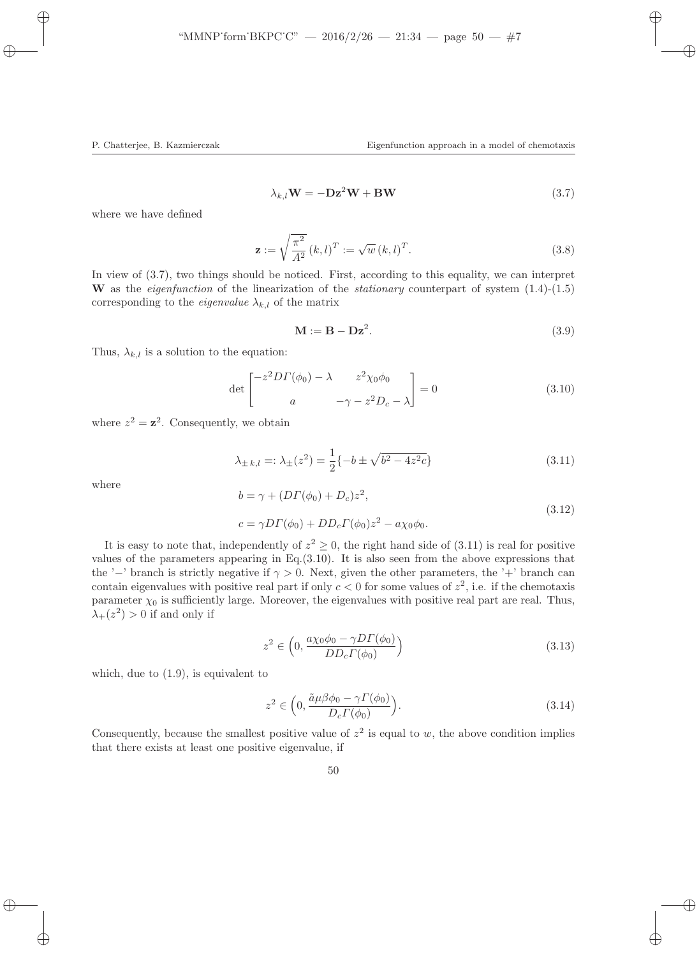$$
\lambda_{k,l} \mathbf{W} = -\mathbf{D} \mathbf{z}^2 \mathbf{W} + \mathbf{B} \mathbf{W} \tag{3.7}
$$

where we have defined

$$
\mathbf{z} := \sqrt{\frac{\pi^2}{A^2}} (k, l)^T := \sqrt{w} (k, l)^T.
$$
\n(3.8)

In view of (3.7), two things should be noticed. First, according to this equality, we can interpret W as the *eigenfunction* of the linearization of the *stationary* counterpart of system  $(1.4)-(1.5)$ corresponding to the *eigenvalue*  $\lambda_{k,l}$  of the matrix

$$
\mathbf{M} := \mathbf{B} - \mathbf{Dz}^2. \tag{3.9}
$$

Thus,  $\lambda_{k,l}$  is a solution to the equation:

$$
\det \begin{bmatrix} -z^2 D\Gamma(\phi_0) - \lambda & z^2 \chi_0 \phi_0 \\ a & -\gamma - z^2 D_c - \lambda \end{bmatrix} = 0 \tag{3.10}
$$

where  $z^2 = \mathbf{z}^2$ . Consequently, we obtain

$$
\lambda_{\pm k,l} =: \lambda_{\pm}(z^2) = \frac{1}{2} \{-b \pm \sqrt{b^2 - 4z^2c} \}
$$
\n(3.11)

where

$$
b = \gamma + (D\Gamma(\phi_0) + D_c)z^2,
$$
  
\n
$$
c = \gamma DT(\phi_0) + DD_c\Gamma(\phi_0)z^2 - a\chi_0\phi_0.
$$
\n(3.12)

It is easy to note that, independently of  $z^2 \geq 0$ , the right hand side of (3.11) is real for positive values of the parameters appearing in  $Eq.(3.10)$ . It is also seen from the above expressions that the '−' branch is strictly negative if  $\gamma > 0$ . Next, given the other parameters, the '+' branch can contain eigenvalues with positive real part if only  $c < 0$  for some values of  $z^2$ , i.e. if the chemotaxis parameter  $\chi_0$  is sufficiently large. Moreover, the eigenvalues with positive real part are real. Thus,  $\lambda_+(z^2) > 0$  if and only if

$$
z^{2} \in \left(0, \frac{a\chi_{0}\phi_{0} - \gamma DT(\phi_{0})}{DD_{c}\Gamma(\phi_{0})}\right)
$$
\n(3.13)

which, due to (1.9), is equivalent to

$$
z^{2} \in \left(0, \frac{\tilde{a}\mu\beta\phi_{0} - \gamma\Gamma(\phi_{0})}{D_{c}\Gamma(\phi_{0})}\right).
$$
\n(3.14)

Consequently, because the smallest positive value of  $z^2$  is equal to w, the above condition implies that there exists at least one positive eigenvalue, if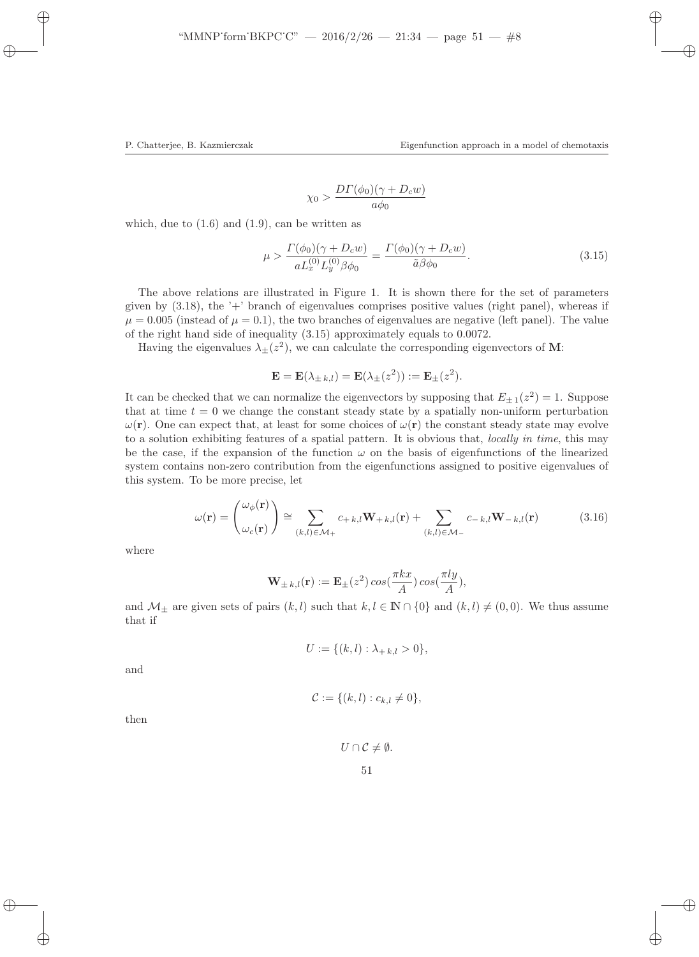$$
\chi_0 > \frac{D\Gamma(\phi_0)(\gamma + D_c w)}{a\phi_0}
$$

which, due to  $(1.6)$  and  $(1.9)$ , can be written as

$$
\mu > \frac{\Gamma(\phi_0)(\gamma + D_c w)}{a L_x^{(0)} L_y^{(0)} \beta \phi_0} = \frac{\Gamma(\phi_0)(\gamma + D_c w)}{\tilde{a}\beta \phi_0}.
$$
\n(3.15)

The above relations are illustrated in Figure 1. It is shown there for the set of parameters given by  $(3.18)$ , the '+' branch of eigenvalues comprises positive values (right panel), whereas if  $\mu = 0.005$  (instead of  $\mu = 0.1$ ), the two branches of eigenvalues are negative (left panel). The value of the right hand side of inequality (3.15) approximately equals to 0.0072.

Having the eigenvalues  $\lambda_{\pm}(z^2)$ , we can calculate the corresponding eigenvectors of M:

$$
\mathbf{E} = \mathbf{E}(\lambda_{\pm k,l}) = \mathbf{E}(\lambda_{\pm}(z^2)) := \mathbf{E}_{\pm}(z^2).
$$

It can be checked that we can normalize the eigenvectors by supposing that  $E_{\pm 1}(z^2) = 1$ . Suppose that at time  $t = 0$  we change the constant steady state by a spatially non-uniform perturbation  $\omega(\mathbf{r})$ . One can expect that, at least for some choices of  $\omega(\mathbf{r})$  the constant steady state may evolve to a solution exhibiting features of a spatial pattern. It is obvious that, locally in time, this may be the case, if the expansion of the function  $\omega$  on the basis of eigenfunctions of the linearized system contains non-zero contribution from the eigenfunctions assigned to positive eigenvalues of this system. To be more precise, let

$$
\omega(\mathbf{r}) = \begin{pmatrix} \omega_{\phi}(\mathbf{r}) \\ \omega_{c}(\mathbf{r}) \end{pmatrix} \cong \sum_{(k,l) \in \mathcal{M}_{+}} c_{+,k,l} \mathbf{W}_{+,k,l}(\mathbf{r}) + \sum_{(k,l) \in \mathcal{M}_{-}} c_{-,k,l} \mathbf{W}_{-,k,l}(\mathbf{r})
$$
(3.16)

where

$$
\mathbf{W}_{\pm k,l}(\mathbf{r}) := \mathbf{E}_{\pm}(z^2) \cos(\frac{\pi k x}{A}) \cos(\frac{\pi ly}{A}),
$$

and  $\mathcal{M}_{\pm}$  are given sets of pairs  $(k, l)$  such that  $k, l \in \mathbb{N} \cap \{0\}$  and  $(k, l) \neq (0, 0)$ . We thus assume that if

$$
U := \{(k, l) : \lambda_{+k, l} > 0\},\
$$

and

$$
\mathcal{C}:=\{(k,l):c_{k,l}\neq 0\},\
$$

then

$$
U\cap\mathcal{C}\neq\emptyset.
$$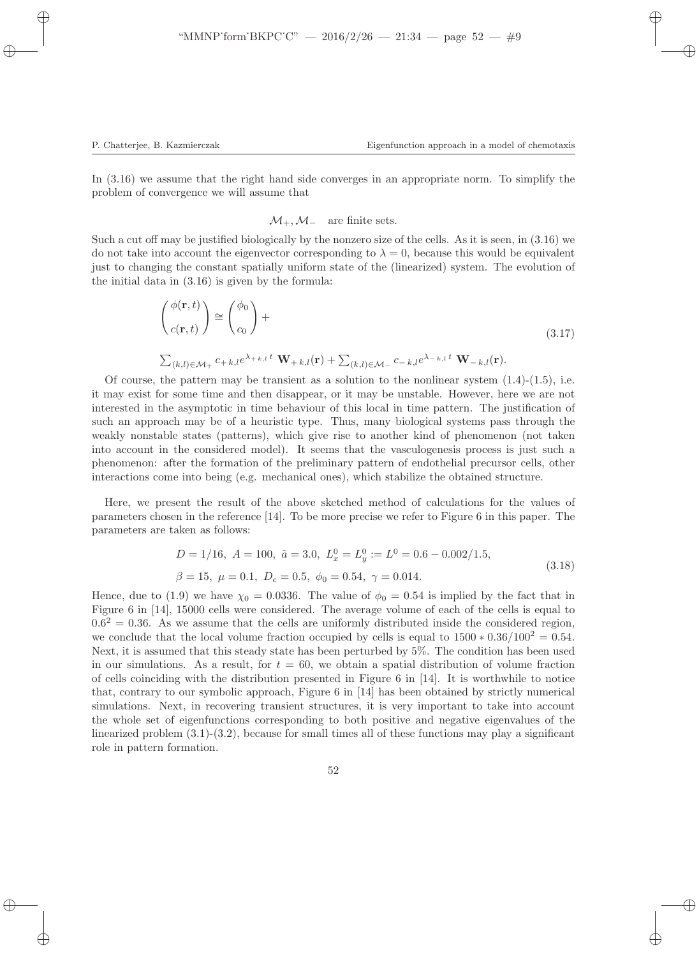In (3.16) we assume that the right hand side converges in an appropriate norm. To simplify the problem of convergence we will assume that

## $M_+$ , M are finite sets.

Such a cut off may be justified biologically by the nonzero size of the cells. As it is seen, in (3.16) we do not take into account the eigenvector corresponding to  $\lambda = 0$ , because this would be equivalent just to changing the constant spatially uniform state of the (linearized) system. The evolution of the initial data in (3.16) is given by the formula:

$$
\begin{pmatrix}\n\phi(\mathbf{r},t) \\
c(\mathbf{r},t)\n\end{pmatrix} \cong \begin{pmatrix}\n\phi_0 \\
c_0\n\end{pmatrix} + \n\tag{3.17}
$$
\n
$$
\sum_{(k,l)\in\mathcal{M}_+} c_{k,l}e^{\lambda_{k,l}t} \mathbf{W}_{k,l}(\mathbf{r}) + \sum_{(k,l)\in\mathcal{M}_-} c_{k,l}e^{\lambda_{k,l}t} \mathbf{W}_{k,l}(\mathbf{r}).
$$

Of course, the pattern may be transient as a solution to the nonlinear system  $(1.4)-(1.5)$ , i.e. it may exist for some time and then disappear, or it may be unstable. However, here we are not interested in the asymptotic in time behaviour of this local in time pattern. The justification of such an approach may be of a heuristic type. Thus, many biological systems pass through the weakly nonstable states (patterns), which give rise to another kind of phenomenon (not taken into account in the considered model). It seems that the vasculogenesis process is just such a phenomenon: after the formation of the preliminary pattern of endothelial precursor cells, other interactions come into being (e.g. mechanical ones), which stabilize the obtained structure.

Here, we present the result of the above sketched method of calculations for the values of parameters chosen in the reference [14]. To be more precise we refer to Figure 6 in this paper. The parameters are taken as follows:

$$
D = 1/16, A = 100, \tilde{a} = 3.0, L_x^0 = L_y^0 := L^0 = 0.6 - 0.002/1.5,
$$
  

$$
\beta = 15, \mu = 0.1, D_c = 0.5, \phi_0 = 0.54, \gamma = 0.014.
$$
 (3.18)

Hence, due to (1.9) we have  $\chi_0 = 0.0336$ . The value of  $\phi_0 = 0.54$  is implied by the fact that in Figure 6 in [14], 15000 cells were considered. The average volume of each of the cells is equal to  $0.6<sup>2</sup> = 0.36$ . As we assume that the cells are uniformly distributed inside the considered region, we conclude that the local volume fraction occupied by cells is equal to  $1500 * 0.36/100^2 = 0.54$ . Next, it is assumed that this steady state has been perturbed by 5%. The condition has been used in our simulations. As a result, for  $t = 60$ , we obtain a spatial distribution of volume fraction of cells coinciding with the distribution presented in Figure 6 in [14]. It is worthwhile to notice that, contrary to our symbolic approach, Figure 6 in [14] has been obtained by strictly numerical simulations. Next, in recovering transient structures, it is very important to take into account the whole set of eigenfunctions corresponding to both positive and negative eigenvalues of the linearized problem  $(3.1)-(3.2)$ , because for small times all of these functions may play a significant role in pattern formation.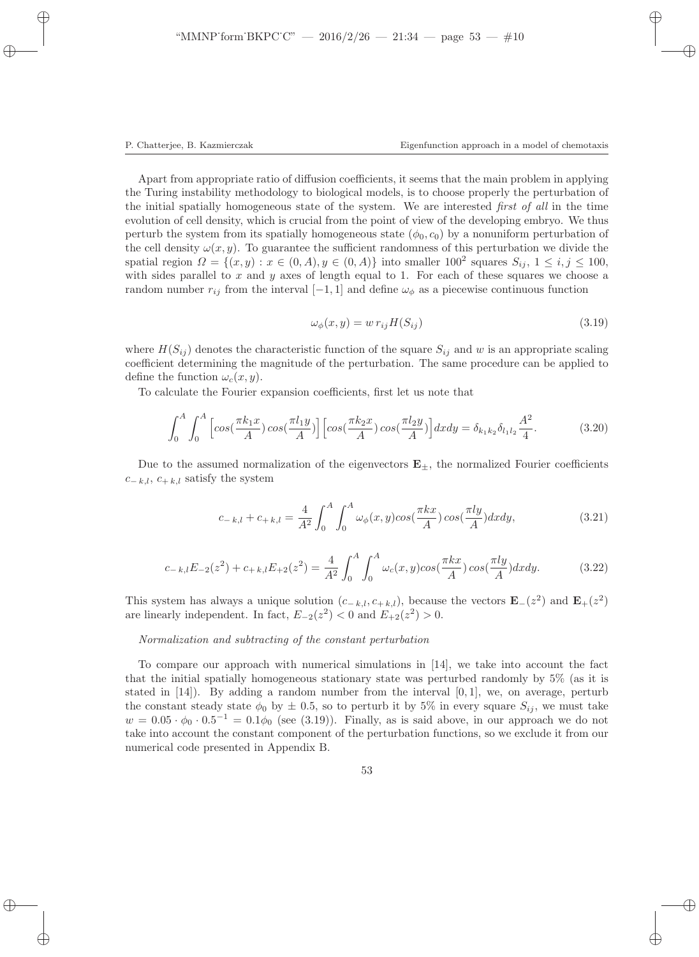Apart from appropriate ratio of diffusion coefficients, it seems that the main problem in applying the Turing instability methodology to biological models, is to choose properly the perturbation of the initial spatially homogeneous state of the system. We are interested first of all in the time evolution of cell density, which is crucial from the point of view of the developing embryo. We thus perturb the system from its spatially homogeneous state  $(\phi_0, c_0)$  by a nonuniform perturbation of the cell density  $\omega(x, y)$ . To guarantee the sufficient randomness of this perturbation we divide the spatial region  $\Omega = \{(x, y) : x \in (0, A), y \in (0, A)\}$  into smaller  $100^2$  squares  $S_{ij}$ ,  $1 \le i, j \le 100$ , with sides parallel to  $x$  and  $y$  axes of length equal to 1. For each of these squares we choose a random number  $r_{ij}$  from the interval [−1, 1] and define  $\omega_{\phi}$  as a piecewise continuous function

$$
\omega_{\phi}(x, y) = w r_{ij} H(S_{ij}) \tag{3.19}
$$

where  $H(S_{ij})$  denotes the characteristic function of the square  $S_{ij}$  and w is an appropriate scaling coefficient determining the magnitude of the perturbation. The same procedure can be applied to define the function  $\omega_c(x, y)$ .

To calculate the Fourier expansion coefficients, first let us note that

$$
\int_0^A \int_0^A \left[ \cos(\frac{\pi k_1 x}{A}) \cos(\frac{\pi l_1 y}{A}) \right] \left[ \cos(\frac{\pi k_2 x}{A}) \cos(\frac{\pi l_2 y}{A}) \right] dx dy = \delta_{k_1 k_2} \delta_{l_1 l_2} \frac{A^2}{4}.
$$
 (3.20)

Due to the assumed normalization of the eigenvectors  $\mathbf{E}_{\pm}$ , the normalized Fourier coefficients  $c_{-k,l}, c_{+k,l}$  satisfy the system

$$
c_{-k,l} + c_{+k,l} = \frac{4}{A^2} \int_0^A \int_0^A \omega_{\phi}(x, y) \cos(\frac{\pi k x}{A}) \cos(\frac{\pi l y}{A}) dx dy,
$$
 (3.21)

$$
c_{-k,l}E_{-2}(z^2) + c_{+k,l}E_{+2}(z^2) = \frac{4}{A^2} \int_0^A \int_0^A \omega_c(x,y) \cos(\frac{\pi kx}{A}) \cos(\frac{\pi ly}{A}) dx dy.
$$
 (3.22)

This system has always a unique solution  $(c_{-k,l}, c_{+k,l})$ , because the vectors  $\mathbf{E}_{-}(z^2)$  and  $\mathbf{E}_{+}(z^2)$ are linearly independent. In fact,  $E_{-2}(z^2) < 0$  and  $E_{+2}(z^2) > 0$ .

#### Normalization and subtracting of the constant perturbation

To compare our approach with numerical simulations in [14], we take into account the fact that the initial spatially homogeneous stationary state was perturbed randomly by 5% (as it is stated in  $[14]$ . By adding a random number from the interval  $[0, 1]$ , we, on average, perturb the constant steady state  $\phi_0$  by  $\pm$  0.5, so to perturb it by 5% in every square  $S_{ij}$ , we must take  $w = 0.05 \cdot \phi_0 \cdot 0.5^{-1} = 0.1\phi_0$  (see (3.19)). Finally, as is said above, in our approach we do not take into account the constant component of the perturbation functions, so we exclude it from our numerical code presented in Appendix B.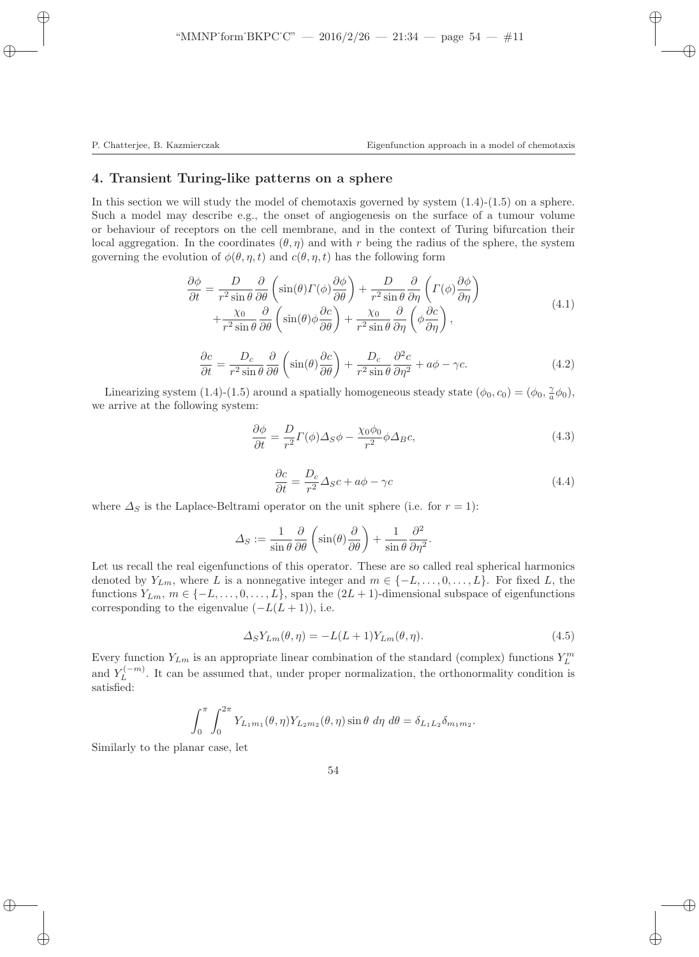## 4. Transient Turing-like patterns on a sphere

In this section we will study the model of chemotaxis governed by system  $(1.4)-(1.5)$  on a sphere. Such a model may describe e.g., the onset of angiogenesis on the surface of a tumour volume or behaviour of receptors on the cell membrane, and in the context of Turing bifurcation their local aggregation. In the coordinates  $(\theta, \eta)$  and with r being the radius of the sphere, the system governing the evolution of  $\phi(\theta, \eta, t)$  and  $c(\theta, \eta, t)$  has the following form

$$
\frac{\partial \phi}{\partial t} = \frac{D}{r^2 \sin \theta} \frac{\partial}{\partial \theta} \left( \sin(\theta) \Gamma(\phi) \frac{\partial \phi}{\partial \theta} \right) + \frac{D}{r^2 \sin \theta} \frac{\partial}{\partial \eta} \left( \Gamma(\phi) \frac{\partial \phi}{\partial \eta} \right) \n+ \frac{\chi_0}{r^2 \sin \theta} \frac{\partial}{\partial \theta} \left( \sin(\theta) \phi \frac{\partial c}{\partial \theta} \right) + \frac{\chi_0}{r^2 \sin \theta} \frac{\partial}{\partial \eta} \left( \phi \frac{\partial c}{\partial \eta} \right),
$$
\n(4.1)

$$
\frac{\partial c}{\partial t} = \frac{D_c}{r^2 \sin \theta} \frac{\partial}{\partial \theta} \left( \sin(\theta) \frac{\partial c}{\partial \theta} \right) + \frac{D_c}{r^2 \sin \theta} \frac{\partial^2 c}{\partial \eta^2} + a\phi - \gamma c. \tag{4.2}
$$

Linearizing system (1.4)-(1.5) around a spatially homogeneous steady state  $(\phi_0, c_0) = (\phi_0, \frac{\gamma}{a}\phi_0)$ , we arrive at the following system:

$$
\frac{\partial \phi}{\partial t} = \frac{D}{r^2} \Gamma(\phi) \Delta_S \phi - \frac{\chi_0 \phi_0}{r^2} \phi \Delta_B c,\tag{4.3}
$$

$$
\frac{\partial c}{\partial t} = \frac{D_c}{r^2} \Delta_S c + a\phi - \gamma c \tag{4.4}
$$

where  $\Delta_S$  is the Laplace-Beltrami operator on the unit sphere (i.e. for  $r = 1$ ):

$$
\Delta_S := \frac{1}{\sin \theta} \frac{\partial}{\partial \theta} \left( \sin(\theta) \frac{\partial}{\partial \theta} \right) + \frac{1}{\sin \theta} \frac{\partial^2}{\partial \eta^2}.
$$

Let us recall the real eigenfunctions of this operator. These are so called real spherical harmonics denoted by  $Y_{L_m}$ , where L is a nonnegative integer and  $m \in \{-L, \ldots, 0, \ldots, L\}$ . For fixed L, the functions  $Y_{L_m}$ ,  $m \in \{-L, \ldots, 0, \ldots, L\}$ , span the  $(2L + 1)$ -dimensional subspace of eigenfunctions corresponding to the eigenvalue  $(-L(L+1))$ , i.e.

$$
\Delta_S Y_{Lm}(\theta, \eta) = -L(L+1)Y_{Lm}(\theta, \eta). \tag{4.5}
$$

Every function  $Y_{Lm}$  is an appropriate linear combination of the standard (complex) functions  $Y_L^m$ and  $Y_L^{(-m)}$ . It can be assumed that, under proper normalization, the orthonormality condition is satisfied:

$$
\int_0^\pi \int_0^{2\pi} Y_{L_1m_1}(\theta,\eta) Y_{L_2m_2}(\theta,\eta) \sin \theta \, d\eta \, d\theta = \delta_{L_1L_2} \delta_{m_1m_2}.
$$

Similarly to the planar case, let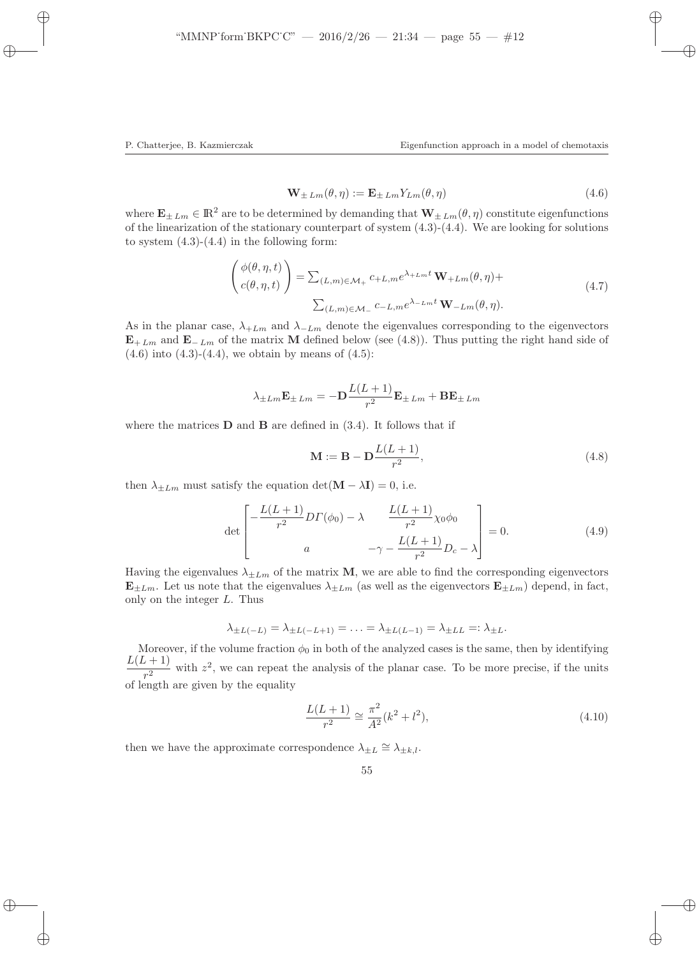$$
\mathbf{W}_{\pm Lm}(\theta,\eta) := \mathbf{E}_{\pm Lm} Y_{Lm}(\theta,\eta)
$$
\n(4.6)

where  $\mathbf{E}_{\pm Lm} \in \mathbb{R}^2$  are to be determined by demanding that  $\mathbf{W}_{\pm Lm}(\theta, \eta)$  constitute eigenfunctions of the linearization of the stationary counterpart of system (4.3)-(4.4). We are looking for solutions to system  $(4.3)-(4.4)$  in the following form:

$$
\begin{pmatrix}\n\phi(\theta,\eta,t) \\
c(\theta,\eta,t)\n\end{pmatrix} = \sum_{(L,m)\in\mathcal{M}_+} c_{+L,m} e^{\lambda_{+Lm}t} \mathbf{W}_{+Lm}(\theta,\eta) + \sum_{(L,m)\in\mathcal{M}_-} c_{-L,m} e^{\lambda_{-Lm}t} \mathbf{W}_{-Lm}(\theta,\eta).
$$
\n(4.7)

As in the planar case,  $\lambda_{+Lm}$  and  $\lambda_{-Lm}$  denote the eigenvalues corresponding to the eigenvectors  $E_{+ \, Lm}$  and  $E_{- \, Lm}$  of the matrix M defined below (see (4.8)). Thus putting the right hand side of  $(4.6)$  into  $(4.3)-(4.4)$ , we obtain by means of  $(4.5)$ :

$$
\lambda_{\pm Lm} \mathbf{E}_{\pm Lm} = -\mathbf{D} \frac{L(L+1)}{r^2} \mathbf{E}_{\pm Lm} + \mathbf{B} \mathbf{E}_{\pm Lm}
$$

where the matrices  **and**  $**B**$  **are defined in (3.4). It follows that if** 

$$
\mathbf{M} := \mathbf{B} - \mathbf{D} \frac{L(L+1)}{r^2},\tag{4.8}
$$

then  $\lambda_{\pm Lm}$  must satisfy the equation det(M –  $\lambda$ I) = 0, i.e.

$$
\det \begin{bmatrix} -\frac{L(L+1)}{r^2} D\Gamma(\phi_0) - \lambda & \frac{L(L+1)}{r^2} \chi_0 \phi_0 \\ a & -\gamma - \frac{L(L+1)}{r^2} D_c - \lambda \end{bmatrix} = 0.
$$
 (4.9)

Having the eigenvalues  $\lambda_{\pm Lm}$  of the matrix **M**, we are able to find the corresponding eigenvectors  $\mathbf{E}_{\pm Lm}$ . Let us note that the eigenvalues  $\lambda_{\pm Lm}$  (as well as the eigenvectors  $\mathbf{E}_{\pm Lm}$ ) depend, in fact, only on the integer  $L$ . Thus

$$
\lambda_{\pm L(-L)}=\lambda_{\pm L(-L+1)}=\ldots=\lambda_{\pm L(L-1)}=\lambda_{\pm LL}=:\lambda_{\pm L}.
$$

Moreover, if the volume fraction  $\phi_0$  in both of the analyzed cases is the same, then by identifying  $L(L+1)$  $\frac{r^2+1}{r^2}$  with  $z^2$ , we can repeat the analysis of the planar case. To be more precise, if the units of length are given by the equality

$$
\frac{L(L+1)}{r^2} \cong \frac{\pi^2}{A^2} (k^2 + l^2),
$$
\n(4.10)

then we have the approximate correspondence  $\lambda_{\pm L} \cong \lambda_{\pm k,l}$ .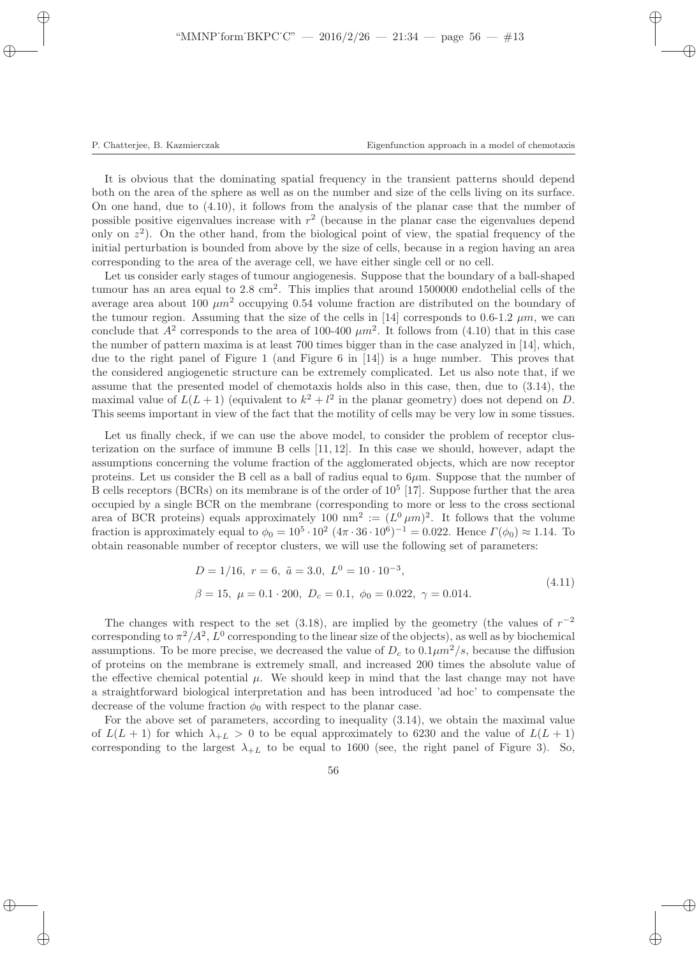It is obvious that the dominating spatial frequency in the transient patterns should depend both on the area of the sphere as well as on the number and size of the cells living on its surface. On one hand, due to (4.10), it follows from the analysis of the planar case that the number of possible positive eigenvalues increase with  $r^2$  (because in the planar case the eigenvalues depend only on  $z^2$ ). On the other hand, from the biological point of view, the spatial frequency of the initial perturbation is bounded from above by the size of cells, because in a region having an area corresponding to the area of the average cell, we have either single cell or no cell.

Let us consider early stages of tumour angiogenesis. Suppose that the boundary of a ball-shaped tumour has an area equal to 2.8 cm<sup>2</sup>. This implies that around 1500000 endothelial cells of the average area about 100  $\mu m^2$  occupying 0.54 volume fraction are distributed on the boundary of the tumour region. Assuming that the size of the cells in [14] corresponds to 0.6-1.2  $\mu$ m, we can conclude that  $A^2$  corresponds to the area of 100-400  $\mu m^2$ . It follows from (4.10) that in this case the number of pattern maxima is at least 700 times bigger than in the case analyzed in [14], which, due to the right panel of Figure 1 (and Figure 6 in [14]) is a huge number. This proves that the considered angiogenetic structure can be extremely complicated. Let us also note that, if we assume that the presented model of chemotaxis holds also in this case, then, due to (3.14), the maximal value of  $L(L+1)$  (equivalent to  $k^2 + l^2$  in the planar geometry) does not depend on D. This seems important in view of the fact that the motility of cells may be very low in some tissues.

Let us finally check, if we can use the above model, to consider the problem of receptor clusterization on the surface of immune B cells [11, 12]. In this case we should, however, adapt the assumptions concerning the volume fraction of the agglomerated objects, which are now receptor proteins. Let us consider the B cell as a ball of radius equal to  $6\mu$ m. Suppose that the number of B cells receptors (BCRs) on its membrane is of the order of  $10^5$  [17]. Suppose further that the area occupied by a single BCR on the membrane (corresponding to more or less to the cross sectional area of BCR proteins) equals approximately 100 nm<sup>2</sup> :=  $(L^0 \mu m)^2$ . It follows that the volume fraction is approximately equal to  $\phi_0 = 10^5 \cdot 10^2 (4\pi \cdot 36 \cdot 10^6)^{-1} = 0.022$ . Hence  $\Gamma(\phi_0) \approx 1.14$ . To obtain reasonable number of receptor clusters, we will use the following set of parameters:

$$
D = 1/16, r = 6, \tilde{a} = 3.0, L^{0} = 10 \cdot 10^{-3},
$$
  

$$
\beta = 15, \mu = 0.1 \cdot 200, D_{c} = 0.1, \phi_{0} = 0.022, \gamma = 0.014.
$$
 (4.11)

The changes with respect to the set  $(3.18)$ , are implied by the geometry (the values of  $r^{-2}$ corresponding to  $\pi^2/A^2$ ,  $L^0$  corresponding to the linear size of the objects), as well as by biochemical assumptions. To be more precise, we decreased the value of  $D_c$  to  $0.1 \mu m^2/s$ , because the diffusion of proteins on the membrane is extremely small, and increased 200 times the absolute value of the effective chemical potential  $\mu$ . We should keep in mind that the last change may not have a straightforward biological interpretation and has been introduced 'ad hoc' to compensate the decrease of the volume fraction  $\phi_0$  with respect to the planar case.

For the above set of parameters, according to inequality (3.14), we obtain the maximal value of  $L(L + 1)$  for which  $\lambda_{+L} > 0$  to be equal approximately to 6230 and the value of  $L(L + 1)$ corresponding to the largest  $\lambda_{+L}$  to be equal to 1600 (see, the right panel of Figure 3). So,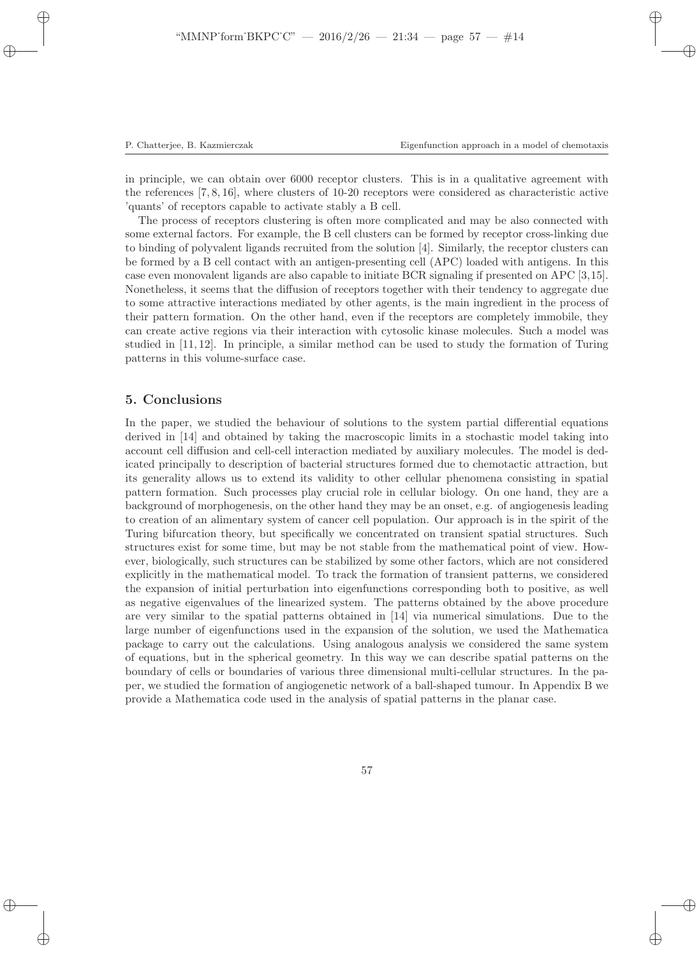in principle, we can obtain over 6000 receptor clusters. This is in a qualitative agreement with the references [7, 8, 16], where clusters of 10-20 receptors were considered as characteristic active 'quants' of receptors capable to activate stably a B cell.

The process of receptors clustering is often more complicated and may be also connected with some external factors. For example, the B cell clusters can be formed by receptor cross-linking due to binding of polyvalent ligands recruited from the solution [4]. Similarly, the receptor clusters can be formed by a B cell contact with an antigen-presenting cell (APC) loaded with antigens. In this case even monovalent ligands are also capable to initiate BCR signaling if presented on APC [3,15]. Nonetheless, it seems that the diffusion of receptors together with their tendency to aggregate due to some attractive interactions mediated by other agents, is the main ingredient in the process of their pattern formation. On the other hand, even if the receptors are completely immobile, they can create active regions via their interaction with cytosolic kinase molecules. Such a model was studied in [11, 12]. In principle, a similar method can be used to study the formation of Turing patterns in this volume-surface case.

### 5. Conclusions

In the paper, we studied the behaviour of solutions to the system partial differential equations derived in [14] and obtained by taking the macroscopic limits in a stochastic model taking into account cell diffusion and cell-cell interaction mediated by auxiliary molecules. The model is dedicated principally to description of bacterial structures formed due to chemotactic attraction, but its generality allows us to extend its validity to other cellular phenomena consisting in spatial pattern formation. Such processes play crucial role in cellular biology. On one hand, they are a background of morphogenesis, on the other hand they may be an onset, e.g. of angiogenesis leading to creation of an alimentary system of cancer cell population. Our approach is in the spirit of the Turing bifurcation theory, but specifically we concentrated on transient spatial structures. Such structures exist for some time, but may be not stable from the mathematical point of view. However, biologically, such structures can be stabilized by some other factors, which are not considered explicitly in the mathematical model. To track the formation of transient patterns, we considered the expansion of initial perturbation into eigenfunctions corresponding both to positive, as well as negative eigenvalues of the linearized system. The patterns obtained by the above procedure are very similar to the spatial patterns obtained in [14] via numerical simulations. Due to the large number of eigenfunctions used in the expansion of the solution, we used the Mathematica package to carry out the calculations. Using analogous analysis we considered the same system of equations, but in the spherical geometry. In this way we can describe spatial patterns on the boundary of cells or boundaries of various three dimensional multi-cellular structures. In the paper, we studied the formation of angiogenetic network of a ball-shaped tumour. In Appendix B we provide a Mathematica code used in the analysis of spatial patterns in the planar case.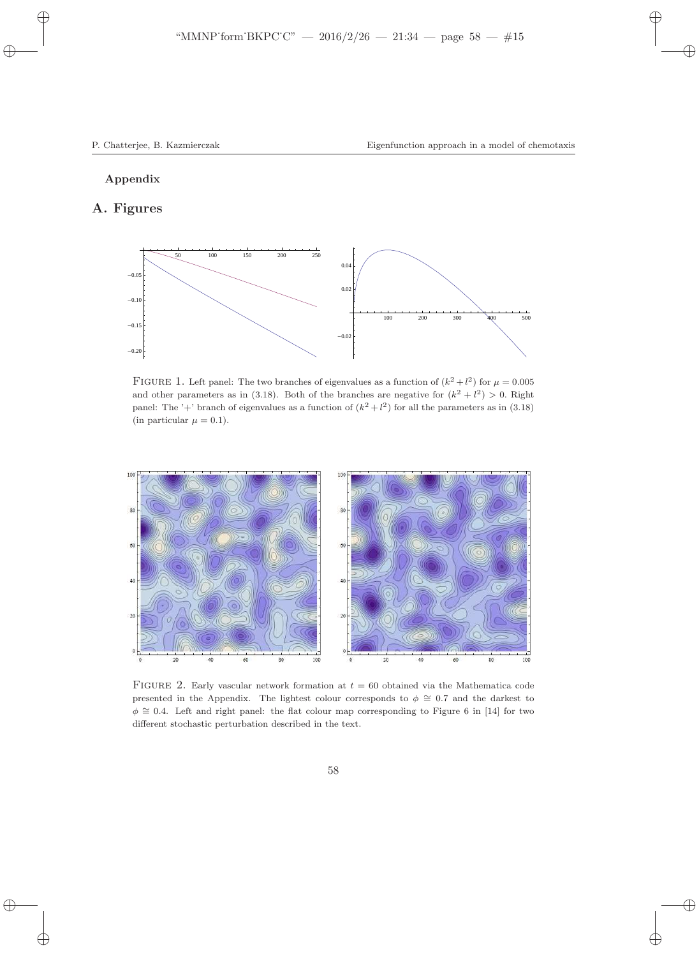#### Appendix

# A. Figures



FIGURE 1. Left panel: The two branches of eigenvalues as a function of  $(k^2 + l^2)$  for  $\mu = 0.005$ and other parameters as in (3.18). Both of the branches are negative for  $(k^2 + l^2) > 0$ . Right panel: The '+' branch of eigenvalues as a function of  $(k^2 + l^2)$  for all the parameters as in (3.18) (in particular  $\mu = 0.1$ ).



FIGURE 2. Early vascular network formation at  $t = 60$  obtained via the Mathematica code presented in the Appendix. The lightest colour corresponds to  $\phi \cong 0.7$  and the darkest to  $\phi \cong 0.4$ . Left and right panel: the flat colour map corresponding to Figure 6 in [14] for two different stochastic perturbation described in the text.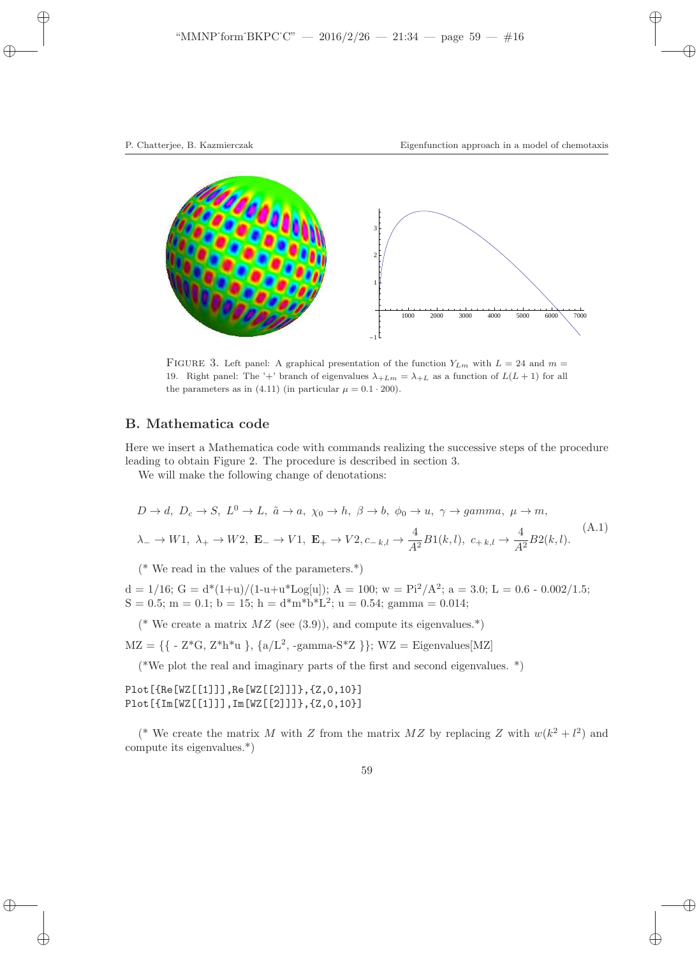

FIGURE 3. Left panel: A graphical presentation of the function  $Y_{Lm}$  with  $L = 24$  and  $m =$ 19. Right panel: The '+' branch of eigenvalues  $\lambda_{+Lm} = \lambda_{+L}$  as a function of  $L(L+1)$  for all the parameters as in (4.11) (in particular  $\mu = 0.1 \cdot 200$ ).

# B. Mathematica code

Here we insert a Mathematica code with commands realizing the successive steps of the procedure leading to obtain Figure 2. The procedure is described in section 3.

We will make the following change of denotations:

$$
D \to d, \ D_c \to S, \ L^0 \to L, \ \tilde{a} \to a, \ \chi_0 \to h, \ \beta \to b, \ \phi_0 \to u, \ \gamma \to gamma, \ \mu \to m,
$$
  

$$
\lambda_- \to W1, \ \lambda_+ \to W2, \ \mathbf{E}_- \to V1, \ \mathbf{E}_+ \to V2, \ c_{-k,l} \to \frac{4}{A^2}B1(k,l), \ c_{+k,l} \to \frac{4}{A^2}B2(k,l).
$$
 (A.1)

(\* We read in the values of the parameters.\*)

 $d = 1/16$ ;  $G = d*(1+u)/(1-u+u*Log[u])$ ;  $A = 100$ ;  $w = Pi^2/A^2$ ;  $a = 3.0$ ;  $L = 0.6 - 0.002/1.5$ ;  $S = 0.5$ ; m = 0.1; b = 15; h = d\*m\*b\*L<sup>2</sup>; u = 0.54; gamma = 0.014;

(\* We create a matrix  $MZ$  (see (3.9)), and compute its eigenvalues.<sup>\*</sup>)

 $MZ = \{\{\ -Z^*G, Z^*h^*u\ \}, \{a/L^2, -gamma-S^*Z\ \}\}; WZ = Eigenvalues[MZ]$ 

(\*We plot the real and imaginary parts of the first and second eigenvalues. \*)

Plot[{Re[WZ[[1]]],Re[WZ[[2]]]},{Z,0,10}] Plot[{Im[WZ[[1]]],Im[WZ[[2]]]},{Z,0,10}]

(\* We create the matrix M with Z from the matrix MZ by replacing Z with  $w(k^2 + l^2)$  and compute its eigenvalues.\*)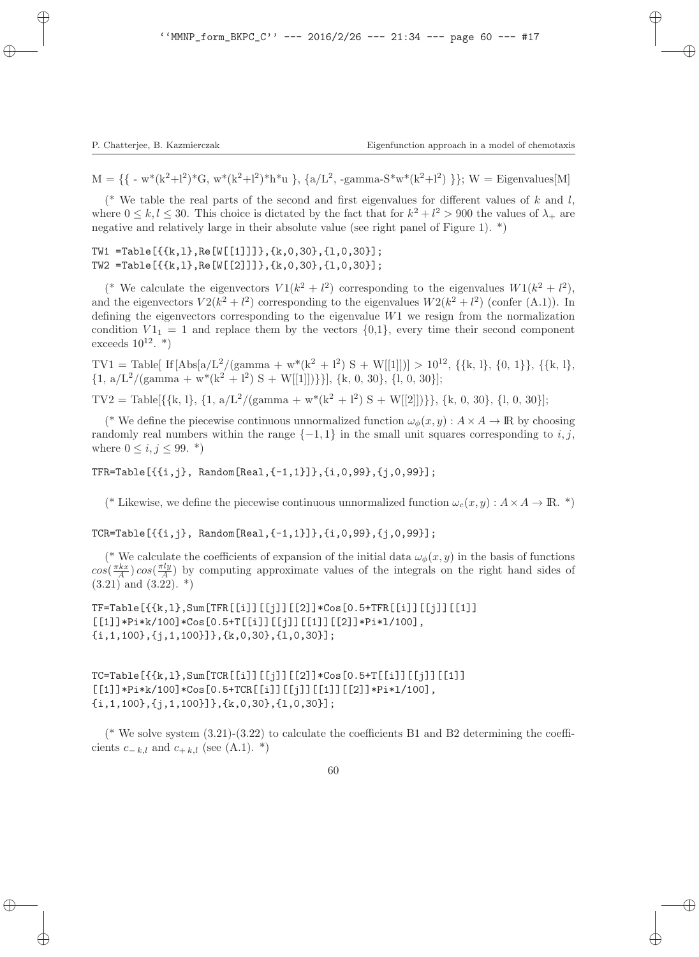$M = \{\{\text{-w*(k^2+l^2)*G, w*(k^2+l^2)*h*u}\}, \{a/L^2, \text{-gamma-S*w*(k^2+l^2)}\}\};$  W = Eigenvalues[M]

(\* We table the real parts of the second and first eigenvalues for different values of  $k$  and  $l$ , where  $0 \leq k, l \leq 30$ . This choice is dictated by the fact that for  $k^2 + l^2 > 900$  the values of  $\lambda_+$  are negative and relatively large in their absolute value (see right panel of Figure 1).  $\ast$ )

TW1 =Table[{{k,l},Re[W[[1]]]},{k,0,30},{l,0,30}]; TW2 =Table[{{k,l},Re[W[[2]]]},{k,0,30},{l,0,30}];

(\* We calculate the eigenvectors  $V1(k^2 + l^2)$  corresponding to the eigenvalues  $W1(k^2 + l^2)$ , and the eigenvectors  $V2(k^2 + l^2)$  corresponding to the eigenvalues  $W2(k^2 + l^2)$  (confer (A.1)). In defining the eigenvectors corresponding to the eigenvalue  $W1$  we resign from the normalization condition  $V1_1 = 1$  and replace them by the vectors  $\{0,1\}$ , every time their second component exceeds  $10^{12}$ . \*)

 $TV1 = Table[$  If  $[Abs[a/L^2/(gamma + w^*(k^2 + 1^2) S + W[[1]])] > 10^{12}$ ,  $\{\{k, 1\}, \{0, 1\}\}, \{\{k, 1\}, \{0, 2\}\}\$  $\{1, \frac{a}{L^2}{\text{gamma}} + w^*(k^2 + l^2) S + W[[1]])\}\}, \{k, 0, 30\}, \{l, 0, 30\}\};$ 

TV2 = Table[{{k, 1}, {1, a/L<sup>2</sup>/(gamma + w<sup>\*</sup>(k<sup>2</sup> + 1<sup>2</sup>) S + W[[2]])}}, {k, 0, 30}, {1, 0, 30}];

(\* We define the piecewise continuous unnormalized function  $\omega_{\phi}(x, y): A \times A \to \mathbb{R}$  by choosing randomly real numbers within the range  $\{-1, 1\}$  in the small unit squares corresponding to i, j, where  $0 \le i, j \le 99.$ \*)

TFR=Table[{{i,j}, Random[Real,{-1,1}]},{i,0,99},{j,0,99}];

(\* Likewise, we define the piecewise continuous unnormalized function  $\omega_c(x, y) : A \times A \to \mathbb{R}$ . \*)

TCR=Table[{{i,j}, Random[Real,{-1,1}]},{i,0,99},{j,0,99}];

(\* We calculate the coefficients of expansion of the initial data  $\omega_{\phi}(x, y)$  in the basis of functions  $cos(\frac{\pi kx}{A})cos(\frac{\pi ly}{A})$  by computing approximate values of the integrals on the right hand sides of  $(3.21)$  and  $(3.22)$ .  $*)$ 

 $TF=Table[{k,1},Sum[TFR[[i]][[i]][[2]]*Cos[0.5+TFR[[i]][[i]][[1]]]$  $[[1]]*Pi* k/100]*Cos[0.5+T[[i]][[j]][[1]][[2]]*Pi*1/100],$ {i,1,100},{j,1,100}]},{k,0,30},{l,0,30}];

TC=Table[{{k,l},Sum[TCR[[i]][[j]][[2]]\*Cos[0.5+T[[i]][[j]][[1]]  $[[1]]*Pi* k/100]*Cos[0.5+TCR[[i]][[j]][[1]][[2]]*Pi*1/100],$ {i,1,100},{j,1,100}]},{k,0,30},{l,0,30}];

(\* We solve system  $(3.21)-(3.22)$  to calculate the coefficients B1 and B2 determining the coefficients  $c_{-k,l}$  and  $c_{+k,l}$  (see (A.1). \*)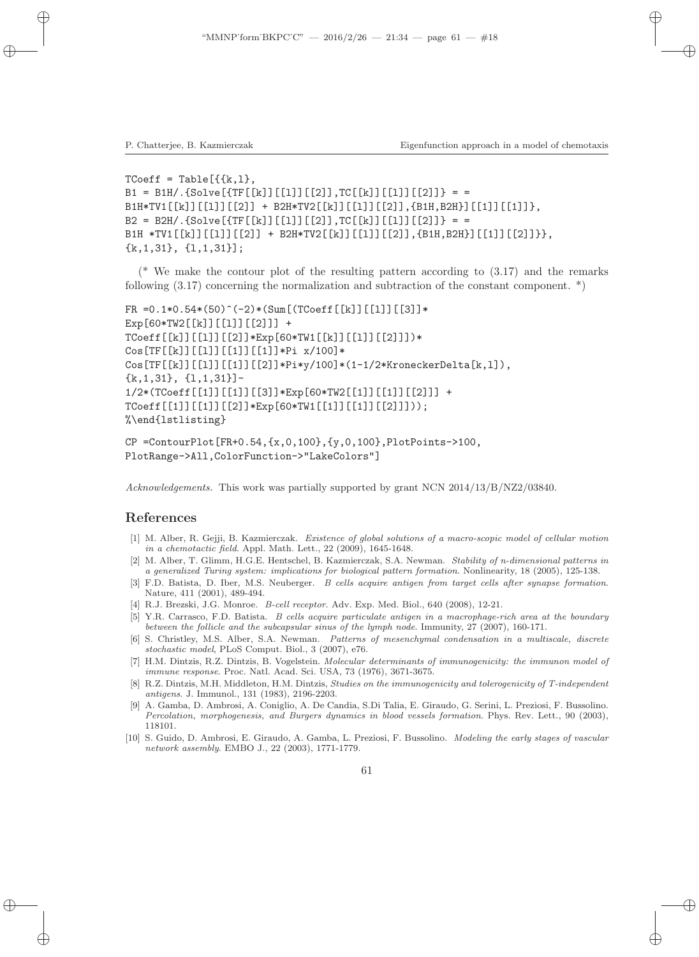```
TCoeff = Table[{k,1},B1 = B1H/.{Solve[{TF[[k]][[1]][[2]],TC[[k]][[1]][[2]]} = =
B1H*TV1[[k]][[1]][[2]] + B2H*TV2[[k]][[1]][[2]],{B1H,B2H}][[1]][[1]]},
B2 = B2H / .{Solve[{TF[[k]][[1]][[2]],TC[[k]][[1]][[2]]} = =
B1H *TV1[[k]][[l]][[2]] + B2H*TV2[[k]][[l]][[2]],{B1H,B2H}][[1]][[2]]}},
{k, 1, 31}, {1, 1, 31};
```
(\* We make the contour plot of the resulting pattern according to (3.17) and the remarks following (3.17) concerning the normalization and subtraction of the constant component. \*)

```
FR = 0.1*0.54*(50)^(-2)*(Sum[(TCoeff[[k]][[1]][[3]]*)Exp[60*TW2[[k]][[l]][[2]]] +
TCoeff[[k]][[l]][[2]]*Exp[60*TW1[[k]][[l]][[2]]])*
Cos[TF[[k]][[l]][[1]][[1]]*Pi x/100]*
Cos[TF[[k]][[1]][[1]][[2]]*Pi*vy/100]*(1-1/2*KroneckerDelta[k,l]),{k,1,31}, {l,1,31}]-
1/2*(TCoeff[[1]][[1]][[3]]*Exp[60*TW2[[1]][[1]][[2]]] +
TCoeff[[1]][[1]][[2]]*Exp[60*TW1[[1]][[1]][[2]]]));
%\end{lstlisting}
```

```
CP =ContourPlot[FR+0.54,{x,0,100},{y,0,100},PlotPoints->100,
PlotRange->All,ColorFunction->"LakeColors"]
```
Acknowledgements. This work was partially supported by grant NCN 2014/13/B/NZ2/03840.

# References

- [1] M. Alber, R. Gejji, B. Kazmierczak. Existence of global solutions of a macro-scopic model of cellular motion in a chemotactic field. Appl. Math. Lett., 22 (2009), 1645-1648.
- [2] M. Alber, T. Glimm, H.G.E. Hentschel, B. Kazmierczak, S.A. Newman. Stability of n-dimensional patterns in a generalized Turing system: implications for biological pattern formation. Nonlinearity, 18 (2005), 125-138.
- [3] F.D. Batista, D. Iber, M.S. Neuberger. B cells acquire antigen from target cells after synapse formation. Nature, 411 (2001), 489-494.
- [4] R.J. Brezski, J.G. Monroe. B-cell receptor. Adv. Exp. Med. Biol., 640 (2008), 12-21.
- [5] Y.R. Carrasco, F.D. Batista. B cells acquire particulate antigen in a macrophage-rich area at the boundary between the follicle and the subcapsular sinus of the lymph node. Immunity, 27 (2007), 160-171.
- [6] S. Christley, M.S. Alber, S.A. Newman. Patterns of mesenchymal condensation in a multiscale, discrete stochastic model, PLoS Comput. Biol., 3 (2007), e76.
- [7] H.M. Dintzis, R.Z. Dintzis, B. Vogelstein. Molecular determinants of immunogenicity: the immunon model of immune response. Proc. Natl. Acad. Sci. USA, 73 (1976), 3671-3675.
- [8] R.Z. Dintzis, M.H. Middleton, H.M. Dintzis, Studies on the immunogenicity and tolerogenicity of T-independent antigens. J. Immunol., 131 (1983), 2196-2203.
- [9] A. Gamba, D. Ambrosi, A. Coniglio, A. De Candia, S.Di Talia, E. Giraudo, G. Serini, L. Preziosi, F. Bussolino. Percolation, morphogenesis, and Burgers dynamics in blood vessels formation. Phys. Rev. Lett., 90 (2003), 118101.
- [10] S. Guido, D. Ambrosi, E. Giraudo, A. Gamba, L. Preziosi, F. Bussolino. Modeling the early stages of vascular network assembly. EMBO J., 22 (2003), 1771-1779.